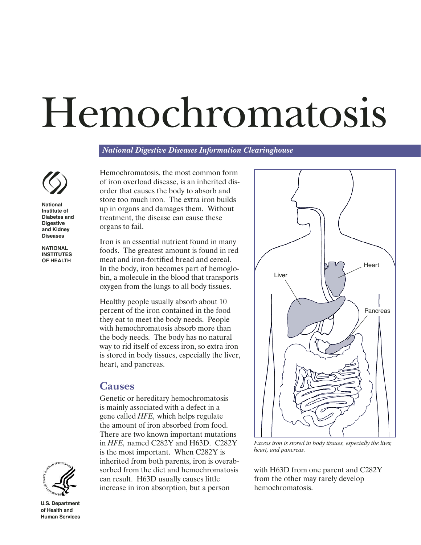# Hemochromatosis

*National Digestive Diseases Information Clearinghouse*



**National Institute of Diabetes and Digestive and Kidney Diseases**

**NATIONAL INSTITUTES OF HEALTH** Hemochromatosis, the most common form of iron overload disease, is an inherited disorder that causes the body to absorb and store too much iron. The extra iron builds up in organs and damages them. Without treatment, the disease can cause these organs to fail.

Iron is an essential nutrient found in many foods. The greatest amount is found in red meat and iron-fortified bread and cereal. In the body, iron becomes part of hemoglobin, a molecule in the blood that transports oxygen from the lungs to all body tissues.

Healthy people usually absorb about 10 percent of the iron contained in the food they eat to meet the body needs. People with hemochromatosis absorb more than the body needs. The body has no natural way to rid itself of excess iron, so extra iron is stored in body tissues, especially the liver, heart, and pancreas.

# **Causes**

Genetic or hereditary hemochromatosis is mainly associated with a defect in a gene called *HFE,* which helps regulate the amount of iron absorbed from food. There are two known important mutations in *HFE,* named C282Y and H63D. C282Y is the most important. When C282Y is inherited from both parents, iron is overabsorbed from the diet and hemochromatosis can result. H63D usually causes little increase in iron absorption, but a person



*Excess iron is stored in body tissues, especially the liver, heart, and pancreas.*

with H63D from one parent and C282Y from the other may rarely develop hemochromatosis.



**U.S. Department of Health and Human Services**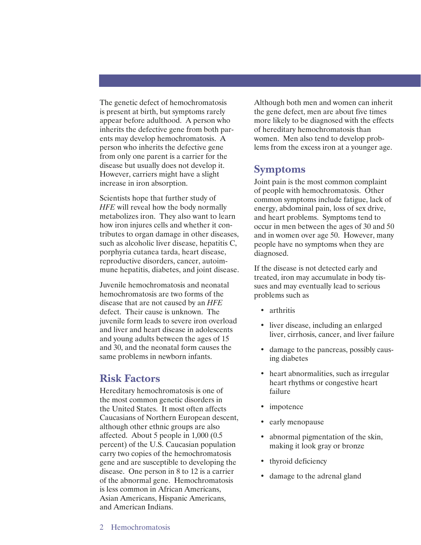The genetic defect of hemochromatosis is present at birth, but symptoms rarely appear before adulthood. A person who inherits the defective gene from both parents may develop hemochromatosis. A person who inherits the defective gene from only one parent is a carrier for the disease but usually does not develop it. However, carriers might have a slight increase in iron absorption.

Scientists hope that further study of *HFE* will reveal how the body normally metabolizes iron. They also want to learn how iron injures cells and whether it contributes to organ damage in other diseases, such as alcoholic liver disease, hepatitis C, porphyria cutanea tarda, heart disease, reproductive disorders, cancer, autoimmune hepatitis, diabetes, and joint disease.

Juvenile hemochromatosis and neonatal hemochromatosis are two forms of the disease that are not caused by an *HFE* defect. Their cause is unknown. The juvenile form leads to severe iron overload and liver and heart disease in adolescents and young adults between the ages of 15 and 30, and the neonatal form causes the same problems in newborn infants.

### **Risk Factors**

Hereditary hemochromatosis is one of the most common genetic disorders in the United States. It most often affects Caucasians of Northern European descent, although other ethnic groups are also affected. About 5 people in 1,000 (0.5 percent) of the U.S. Caucasian population carry two copies of the hemochromatosis gene and are susceptible to developing the disease. One person in 8 to 12 is a carrier of the abnormal gene. Hemochromatosis is less common in African Americans, Asian Americans, Hispanic Americans, and American Indians.

Although both men and women can inherit the gene defect, men are about five times more likely to be diagnosed with the effects of hereditary hemochromatosis than women. Men also tend to develop problems from the excess iron at a younger age.

# **Symptoms**

Joint pain is the most common complaint of people with hemochromatosis. Other common symptoms include fatigue, lack of energy, abdominal pain, loss of sex drive, and heart problems. Symptoms tend to occur in men between the ages of 30 and 50 and in women over age 50. However, many people have no symptoms when they are diagnosed.

If the disease is not detected early and treated, iron may accumulate in body tissues and may eventually lead to serious problems such as

- arthritis
- liver disease, including an enlarged liver, cirrhosis, cancer, and liver failure
- damage to the pancreas, possibly causing diabetes
- heart abnormalities, such as irregular heart rhythms or congestive heart failure
- impotence
- early menopause
- abnormal pigmentation of the skin, making it look gray or bronze
- thyroid deficiency
- damage to the adrenal gland

2 Hemochromatosis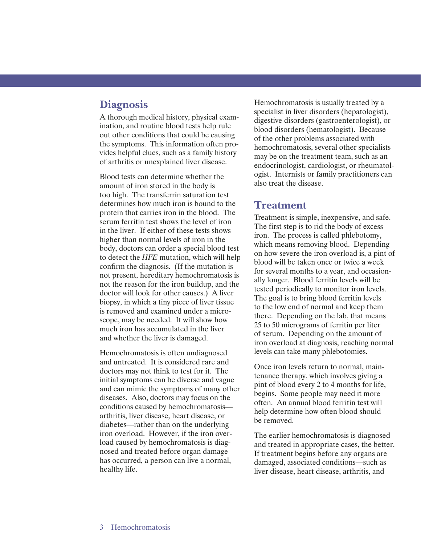# **Diagnosis**

A thorough medical history, physical examination, and routine blood tests help rule out other conditions that could be causing the symptoms. This information often provides helpful clues, such as a family history of arthritis or unexplained liver disease.

Blood tests can determine whether the amount of iron stored in the body is too high. The transferrin saturation test determines how much iron is bound to the protein that carries iron in the blood. The serum ferritin test shows the level of iron in the liver. If either of these tests shows higher than normal levels of iron in the body, doctors can order a special blood test to detect the *HFE* mutation, which will help confirm the diagnosis. (If the mutation is not present, hereditary hemochromatosis is not the reason for the iron buildup, and the doctor will look for other causes.) A liver biopsy, in which a tiny piece of liver tissue is removed and examined under a microscope, may be needed. It will show how much iron has accumulated in the liver and whether the liver is damaged.

Hemochromatosis is often undiagnosed and untreated. It is considered rare and doctors may not think to test for it. The initial symptoms can be diverse and vague and can mimic the symptoms of many other diseases. Also, doctors may focus on the conditions caused by hemochromatosis arthritis, liver disease, heart disease, or diabetes—rather than on the underlying iron overload. However, if the iron overload caused by hemochromatosis is diagnosed and treated before organ damage has occurred, a person can live a normal, healthy life.

Hemochromatosis is usually treated by a specialist in liver disorders (hepatologist), digestive disorders (gastroenterologist), or blood disorders (hematologist). Because of the other problems associated with hemochromatosis, several other specialists may be on the treatment team, such as an endocrinologist, cardiologist, or rheumatologist. Internists or family practitioners can also treat the disease.

### **Treatment**

Treatment is simple, inexpensive, and safe. The first step is to rid the body of excess iron. The process is called phlebotomy, which means removing blood. Depending on how severe the iron overload is, a pint of blood will be taken once or twice a week for several months to a year, and occasionally longer. Blood ferritin levels will be tested periodically to monitor iron levels. The goal is to bring blood ferritin levels to the low end of normal and keep them there. Depending on the lab, that means 25 to 50 micrograms of ferritin per liter of serum. Depending on the amount of iron overload at diagnosis, reaching normal levels can take many phlebotomies.

Once iron levels return to normal, maintenance therapy, which involves giving a pint of blood every 2 to 4 months for life, begins. Some people may need it more often. An annual blood ferritin test will help determine how often blood should be removed.

The earlier hemochromatosis is diagnosed and treated in appropriate cases, the better. If treatment begins before any organs are damaged, associated conditions—such as liver disease, heart disease, arthritis, and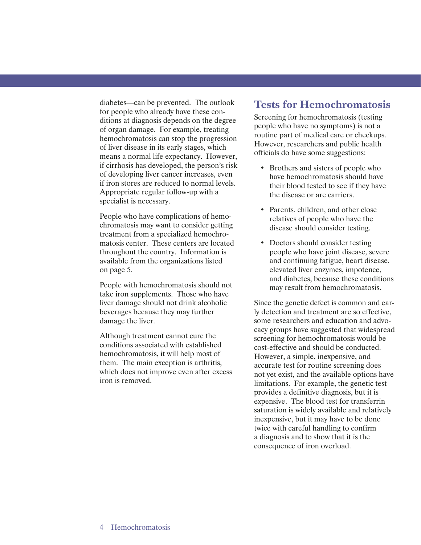diabetes—can be prevented. The outlook for people who already have these conditions at diagnosis depends on the degree of organ damage. For example, treating hemochromatosis can stop the progression of liver disease in its early stages, which means a normal life expectancy. However, if cirrhosis has developed, the person's risk of developing liver cancer increases, even if iron stores are reduced to normal levels. Appropriate regular follow-up with a specialist is necessary.

People who have complications of hemochromatosis may want to consider getting treatment from a specialized hemochromatosis center. These centers are located throughout the country. Information is available from the organizations listed on page 5.

People with hemochromatosis should not take iron supplements. Those who have liver damage should not drink alcoholic beverages because they may further damage the liver.

Although treatment cannot cure the conditions associated with established hemochromatosis, it will help most of them. The main exception is arthritis, which does not improve even after excess iron is removed.

# **Tests for Hemochromatosis**

Screening for hemochromatosis (testing people who have no symptoms) is not a routine part of medical care or checkups. However, researchers and public health officials do have some suggestions:

- Brothers and sisters of people who have hemochromatosis should have their blood tested to see if they have the disease or are carriers.
- Parents, children, and other close relatives of people who have the disease should consider testing.
- Doctors should consider testing people who have joint disease, severe and continuing fatigue, heart disease, elevated liver enzymes, impotence, and diabetes, because these conditions may result from hemochromatosis.

Since the genetic defect is common and early detection and treatment are so effective, some researchers and education and advocacy groups have suggested that widespread screening for hemochromatosis would be cost-effective and should be conducted. However, a simple, inexpensive, and accurate test for routine screening does not yet exist, and the available options have limitations. For example, the genetic test provides a definitive diagnosis, but it is expensive. The blood test for transferrin saturation is widely available and relatively inexpensive, but it may have to be done twice with careful handling to confirm a diagnosis and to show that it is the consequence of iron overload.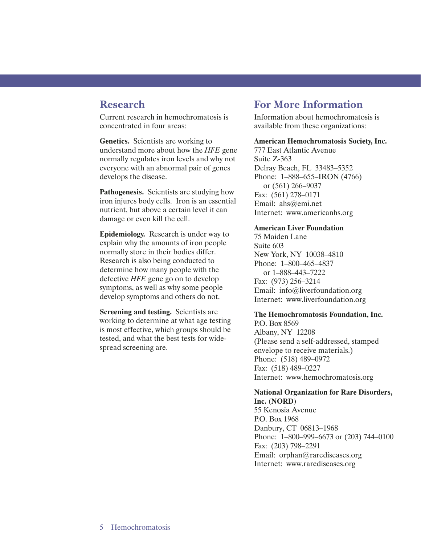# **Research**

Current research in hemochromatosis is concentrated in four areas:

**Genetics.** Scientists are working to understand more about how the *HFE* gene normally regulates iron levels and why not everyone with an abnormal pair of genes develops the disease.

**Pathogenesis.** Scientists are studying how iron injures body cells. Iron is an essential nutrient, but above a certain level it can damage or even kill the cell.

**Epidemiology.** Research is under way to explain why the amounts of iron people normally store in their bodies differ. Research is also being conducted to determine how many people with the defective *HFE* gene go on to develop symptoms, as well as why some people develop symptoms and others do not.

**Screening and testing.** Scientists are working to determine at what age testing is most effective, which groups should be tested, and what the best tests for widespread screening are.

### **For More Information**

Information about hemochromatosis is available from these organizations:

### **American Hemochromatosis Society, Inc.**

777 East Atlantic Avenue Suite Z-363 Delray Beach, FL 33483–5352 Phone: 1–888–655–IRON (4766) or (561) 266–9037 Fax: (561) 278–0171 Email: ahs@emi.net Internet: www.americanhs.org

### **American Liver Foundation**

75 Maiden Lane Suite 603 New York, NY 10038–4810 Phone: 1–800–465–4837 or 1–888–443–7222 Fax: (973) 256–3214 Email: info@liverfoundation.org Internet: www.liverfoundation.org

### **The Hemochromatosis Foundation, Inc.**

P.O. Box 8569 Albany, NY 12208 (Please send a self-addressed, stamped envelope to receive materials.) Phone: (518) 489–0972 Fax: (518) 489–0227 Internet: www.hemochromatosis.org

### **National Organization for Rare Disorders, Inc. (NORD)**

55 Kenosia Avenue P.O. Box 1968 Danbury, CT 06813–1968 Phone: 1–800–999–6673 or (203) 744–0100 Fax: (203) 798–2291 Email: orphan@rarediseases.org Internet: www.rarediseases.org